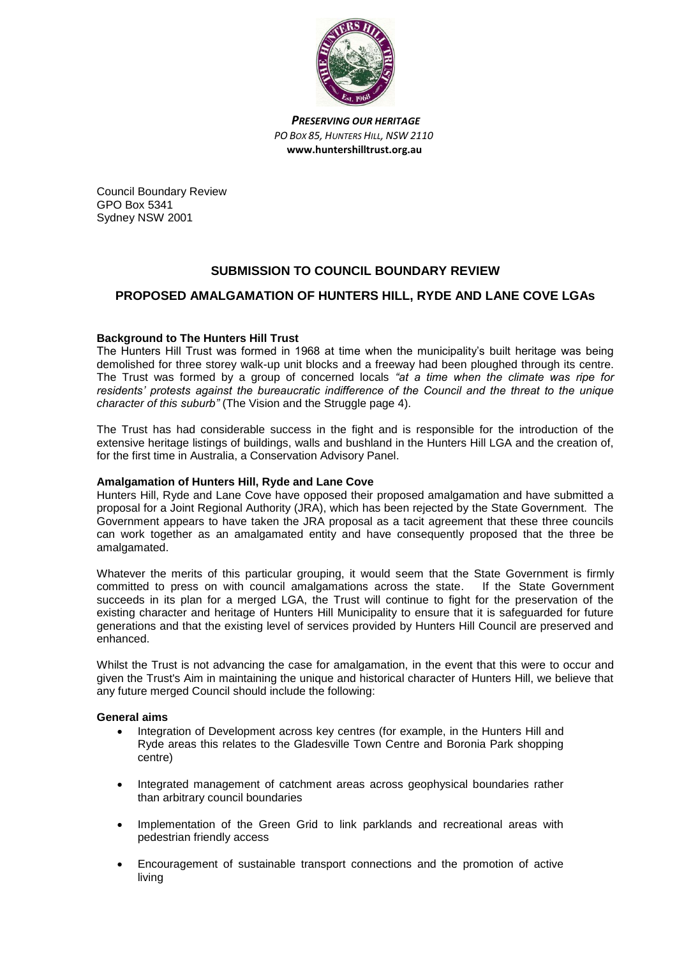

*PRESERVING OUR HERITAGE PO BOX 85, HUNTERS HILL, NSW 2110*  **www.huntershilltrust.org.au**

Council Boundary Review GPO Box 5341 Sydney NSW 2001

# **SUBMISSION TO COUNCIL BOUNDARY REVIEW**

## **PROPOSED AMALGAMATION OF HUNTERS HILL, RYDE AND LANE COVE LGAs**

### **Background to The Hunters Hill Trust**

The Hunters Hill Trust was formed in 1968 at time when the municipality's built heritage was being demolished for three storey walk-up unit blocks and a freeway had been ploughed through its centre. The Trust was formed by a group of concerned locals *"at a time when the climate was ripe for residents' protests against the bureaucratic indifference of the Council and the threat to the unique character of this suburb"* (The Vision and the Struggle page 4).

The Trust has had considerable success in the fight and is responsible for the introduction of the extensive heritage listings of buildings, walls and bushland in the Hunters Hill LGA and the creation of, for the first time in Australia, a Conservation Advisory Panel.

#### **Amalgamation of Hunters Hill, Ryde and Lane Cove**

Hunters Hill, Ryde and Lane Cove have opposed their proposed amalgamation and have submitted a proposal for a Joint Regional Authority (JRA), which has been rejected by the State Government. The Government appears to have taken the JRA proposal as a tacit agreement that these three councils can work together as an amalgamated entity and have consequently proposed that the three be amalgamated.

Whatever the merits of this particular grouping, it would seem that the State Government is firmly committed to press on with council amalgamations across the state. If the State Government succeeds in its plan for a merged LGA, the Trust will continue to fight for the preservation of the existing character and heritage of Hunters Hill Municipality to ensure that it is safeguarded for future generations and that the existing level of services provided by Hunters Hill Council are preserved and enhanced.

Whilst the Trust is not advancing the case for amalgamation, in the event that this were to occur and given the Trust's Aim in maintaining the unique and historical character of Hunters Hill, we believe that any future merged Council should include the following:

#### **General aims**

- Integration of Development across key centres (for example, in the Hunters Hill and Ryde areas this relates to the Gladesville Town Centre and Boronia Park shopping centre)
- Integrated management of catchment areas across geophysical boundaries rather than arbitrary council boundaries
- Implementation of the Green Grid to link parklands and recreational areas with pedestrian friendly access
- Encouragement of sustainable transport connections and the promotion of active living